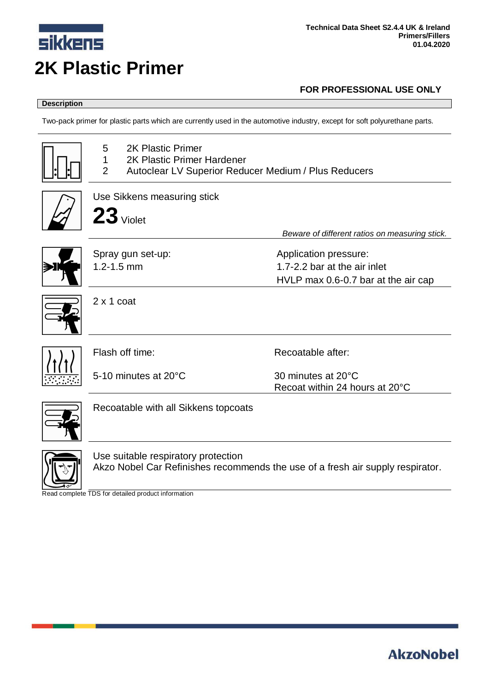

# **Description**

Two-pack primer for plastic parts which are currently used in the automotive industry, except for soft polyurethane parts.

| <b>2K Plastic Primer</b><br>5<br>2K Plastic Primer Hardener<br>1<br>$\overline{2}$<br>Autoclear LV Superior Reducer Medium / Plus Reducers |                                                |
|--------------------------------------------------------------------------------------------------------------------------------------------|------------------------------------------------|
| Use Sikkens measuring stick                                                                                                                |                                                |
| $23$ Violet                                                                                                                                |                                                |
|                                                                                                                                            | Beware of different ratios on measuring stick. |
| Spray gun set-up:                                                                                                                          | Application pressure:                          |
| $1.2 - 1.5$ mm                                                                                                                             | 1.7-2.2 bar at the air inlet                   |
|                                                                                                                                            | HVLP max 0.6-0.7 bar at the air cap            |
| $2 \times 1$ coat                                                                                                                          |                                                |
| Flash off time:                                                                                                                            | Recoatable after:                              |
| 5-10 minutes at 20°C                                                                                                                       | 30 minutes at 20°C                             |
|                                                                                                                                            | Recoat within 24 hours at 20°C                 |
| Recoatable with all Sikkens topcoats                                                                                                       |                                                |
| Use suitable respiratory protection<br>Akzo Nobel Car Refinishes recommends the use of a fresh air supply respirator.                      |                                                |

Read complete TDS for detailed product information

# **AkzoNobel**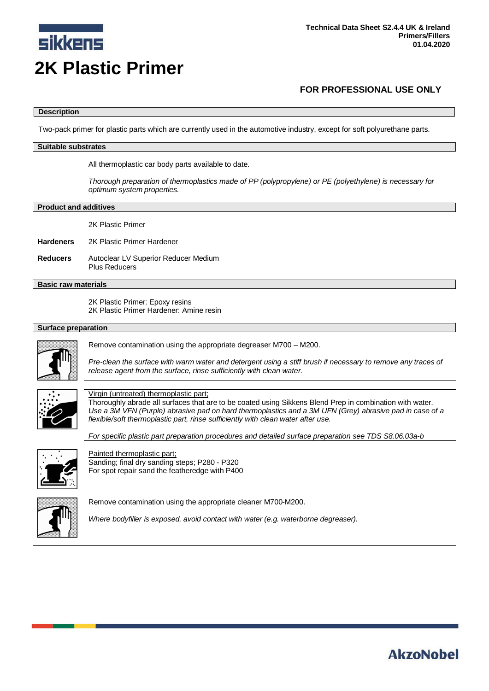

#### **Description**

Two-pack primer for plastic parts which are currently used in the automotive industry, except for soft polyurethane parts.

#### **Suitable substrates**

All thermoplastic car body parts available to date.

*Thorough preparation of thermoplastics made of PP (polypropylene) or PE (polyethylene) is necessary for optimum system properties.*

#### **Product and additives**

2K Plastic Primer

**Hardeners** 2K Plastic Primer Hardener

**Reducers** Autoclear LV Superior Reducer Medium Plus Reducers

# **Basic raw materials**

2K Plastic Primer: Epoxy resins 2K Plastic Primer Hardener: Amine resin

## **Surface preparation**



Remove contamination using the appropriate degreaser M700 – M200.

*Pre-clean the surface with warm water and detergent using a stiff brush if necessary to remove any traces of release agent from the surface, rinse sufficiently with clean water.*



## Virgin (untreated) thermoplastic part;

Thoroughly abrade all surfaces that are to be coated using Sikkens Blend Prep in combination with water. *Use a 3M VFN (Purple) abrasive pad on hard thermoplastics and a 3M UFN (Grey) abrasive pad in case of a flexible/soft thermoplastic part, rinse sufficiently with clean water after use.*

*For specific plastic part preparation procedures and detailed surface preparation see TDS S8.06.03a-b*



Painted thermoplastic part; Sanding; final dry sanding steps; P280 - P320 For spot repair sand the featheredge with P400



Remove contamination using the appropriate cleaner M700-M200.

*Where bodyfiller is exposed, avoid contact with water (e.g. waterborne degreaser).*

# **AkzoNobel**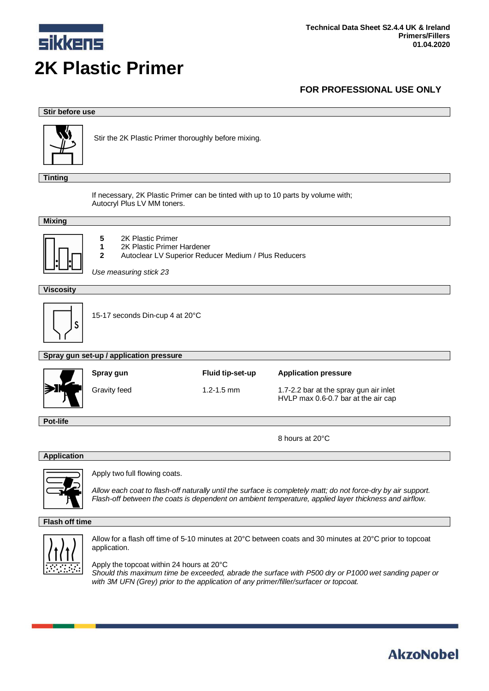

## **Stir before use**



Stir the 2K Plastic Primer thoroughly before mixing.

**Tinting**

If necessary, 2K Plastic Primer can be tinted with up to 10 parts by volume with; Autocryl Plus LV MM toners.

#### **Mixing**



**5** 2K Plastic Primer **1** 2K Plastic Primer Hardener **2** Autoclear LV Superior Reducer Medium / Plus Reducers

*Use measuring stick 23*

## **Viscosity**



15-17 seconds Din-cup 4 at 20°C

#### **Spray gun set-up / application pressure**

|    | Spray gun           | Fluid tip-set-up | <b>Application pressure</b>                                                   |
|----|---------------------|------------------|-------------------------------------------------------------------------------|
| אנ | <b>Gravity feed</b> | $1.2 - 1.5$ mm   | 1.7-2.2 bar at the spray gun air inlet<br>HVLP max 0.6-0.7 bar at the air cap |

**Pot-life**

8 hours at 20°C

**AkzoNobel** 

## **Application**



Apply two full flowing coats.

*Allow each coat to flash-off naturally until the surface is completely matt; do not force-dry by air support. Flash-off between the coats is dependent on ambient temperature, applied layer thickness and airflow.*

#### **Flash off time**



Allow for a flash off time of 5-10 minutes at 20°C between coats and 30 minutes at 20°C prior to topcoat application.

Apply the topcoat within 24 hours at 20°C *Should this maximum time be exceeded, abrade the surface with P500 dry or P1000 wet sanding paper or with 3M UFN (Grey) prior to the application of any primer/filler/surfacer or topcoat.*